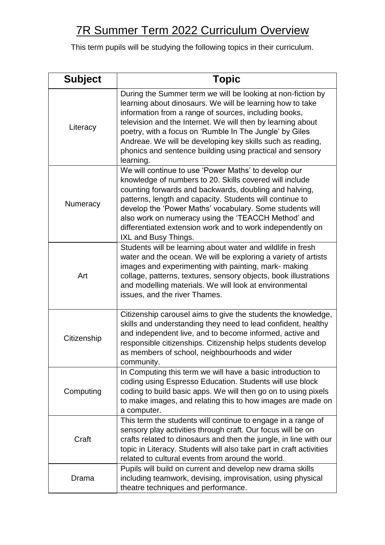## 7R Summer Term 2022 Curriculum Overview

This term pupils will be studying the following topics in their curriculum.

| <b>Subject</b> | <b>Topic</b>                                                                                                                                                                                                                                                                                                                                                                                                                                        |
|----------------|-----------------------------------------------------------------------------------------------------------------------------------------------------------------------------------------------------------------------------------------------------------------------------------------------------------------------------------------------------------------------------------------------------------------------------------------------------|
| Literacy       | During the Summer term we will be looking at non-fiction by<br>learning about dinosaurs. We will be learning how to take<br>information from a range of sources, including books,<br>television and the Internet. We will then by learning about<br>poetry, with a focus on 'Rumble In The Jungle' by Giles<br>Andreae. We will be developing key skills such as reading,<br>phonics and sentence building using practical and sensory<br>learning. |
| Numeracy       | We will continue to use 'Power Maths' to develop our<br>knowledge of numbers to 20. Skills covered will include<br>counting forwards and backwards, doubling and halving,<br>patterns, length and capacity. Students will continue to<br>develop the 'Power Maths' vocabulary. Some students will<br>also work on numeracy using the 'TEACCH Method' and<br>differentiated extension work and to work independently on<br>IXL and Busy Things.      |
| Art            | Students will be learning about water and wildlife in fresh<br>water and the ocean. We will be exploring a variety of artists<br>images and experimenting with painting, mark- making<br>collage, patterns, textures, sensory objects, book illustrations<br>and modelling materials. We will look at environmental<br>issues, and the river Thames.                                                                                                |
| Citizenship    | Citizenship carousel aims to give the students the knowledge,<br>skills and understanding they need to lead confident, healthy<br>and independent live, and to become informed, active and<br>responsible citizenships. Citizenship helps students develop<br>as members of school, neighbourhoods and wider<br>community.                                                                                                                          |
| Computing      | In Computing this term we will have a basic introduction to<br>coding using Espresso Education. Students will use block<br>coding to build basic apps. We will then go on to using pixels<br>to make images, and relating this to how images are made on<br>a computer.                                                                                                                                                                             |
| Craft          | This term the students will continue to engage in a range of<br>sensory play activities through craft. Our focus will be on<br>crafts related to dinosaurs and then the jungle, in line with our<br>topic in Literacy. Students will also take part in craft activities<br>related to cultural events from around the world.                                                                                                                        |
| Drama          | Pupils will build on current and develop new drama skills<br>including teamwork, devising, improvisation, using physical<br>theatre techniques and performance.                                                                                                                                                                                                                                                                                     |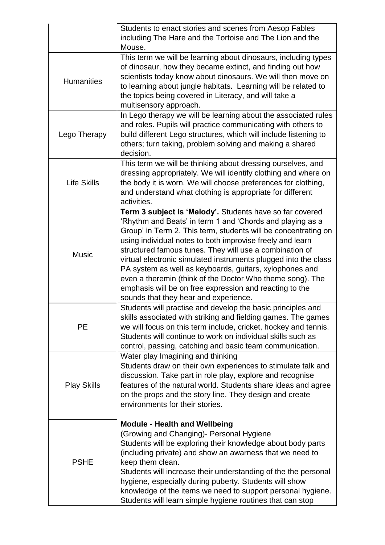|                    | Students to enact stories and scenes from Aesop Fables<br>including The Hare and the Tortoise and The Lion and the<br>Mouse.                                                                                                                                                                                                                                                                                                                                                                                                                                                                                   |
|--------------------|----------------------------------------------------------------------------------------------------------------------------------------------------------------------------------------------------------------------------------------------------------------------------------------------------------------------------------------------------------------------------------------------------------------------------------------------------------------------------------------------------------------------------------------------------------------------------------------------------------------|
| <b>Humanities</b>  | This term we will be learning about dinosaurs, including types<br>of dinosaur, how they became extinct, and finding out how<br>scientists today know about dinosaurs. We will then move on<br>to learning about jungle habitats. Learning will be related to<br>the topics being covered in Literacy, and will take a<br>multisensory approach.                                                                                                                                                                                                                                                                |
| Lego Therapy       | In Lego therapy we will be learning about the associated rules<br>and roles. Pupils will practice communicating with others to<br>build different Lego structures, which will include listening to<br>others; turn taking, problem solving and making a shared<br>decision.                                                                                                                                                                                                                                                                                                                                    |
| <b>Life Skills</b> | This term we will be thinking about dressing ourselves, and<br>dressing appropriately. We will identify clothing and where on<br>the body it is worn. We will choose preferences for clothing,<br>and understand what clothing is appropriate for different<br>activities.                                                                                                                                                                                                                                                                                                                                     |
| <b>Music</b>       | Term 3 subject is 'Melody'. Students have so far covered<br>'Rhythm and Beats' in term 1 and 'Chords and playing as a<br>Group' in Term 2. This term, students will be concentrating on<br>using individual notes to both improvise freely and learn<br>structured famous tunes. They will use a combination of<br>virtual electronic simulated instruments plugged into the class<br>PA system as well as keyboards, guitars, xylophones and<br>even a theremin (think of the Doctor Who theme song). The<br>emphasis will be on free expression and reacting to the<br>sounds that they hear and experience. |
| <b>PE</b>          | Students will practise and develop the basic principles and<br>skills associated with striking and fielding games. The games<br>we will focus on this term include, cricket, hockey and tennis.<br>Students will continue to work on individual skills such as<br>control, passing, catching and basic team communication.                                                                                                                                                                                                                                                                                     |
| <b>Play Skills</b> | Water play Imagining and thinking<br>Students draw on their own experiences to stimulate talk and<br>discussion. Take part in role play, explore and recognise<br>features of the natural world. Students share ideas and agree<br>on the props and the story line. They design and create<br>environments for their stories.                                                                                                                                                                                                                                                                                  |
| <b>PSHE</b>        | <b>Module - Health and Wellbeing</b><br>(Growing and Changing) - Personal Hygiene<br>Students will be exploring their knowledge about body parts<br>(including private) and show an awarness that we need to<br>keep them clean.<br>Students will increase their understanding of the the personal<br>hygiene, especially during puberty. Students will show<br>knowledge of the items we need to support personal hygiene.<br>Students will learn simple hygiene routines that can stop                                                                                                                       |